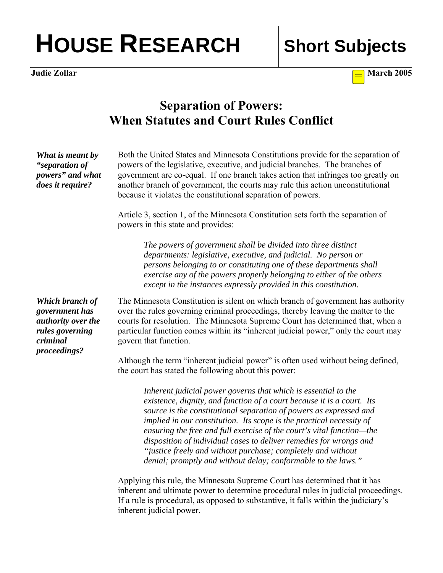## HOUSE RESEARCH Short Subjects

**Judie Zollar** March 2005

## **Separation of Powers: When Statutes and Court Rules Conflict**

| What is meant by<br>"separation of<br>powers" and what<br>does it require?                             | Both the United States and Minnesota Constitutions provide for the separation of<br>powers of the legislative, executive, and judicial branches. The branches of<br>government are co-equal. If one branch takes action that infringes too greatly on<br>another branch of government, the courts may rule this action unconstitutional<br>because it violates the constitutional separation of powers.                                                                                                                                                                |
|--------------------------------------------------------------------------------------------------------|------------------------------------------------------------------------------------------------------------------------------------------------------------------------------------------------------------------------------------------------------------------------------------------------------------------------------------------------------------------------------------------------------------------------------------------------------------------------------------------------------------------------------------------------------------------------|
|                                                                                                        | Article 3, section 1, of the Minnesota Constitution sets forth the separation of<br>powers in this state and provides:                                                                                                                                                                                                                                                                                                                                                                                                                                                 |
|                                                                                                        | The powers of government shall be divided into three distinct<br>departments: legislative, executive, and judicial. No person or<br>persons belonging to or constituting one of these departments shall<br>exercise any of the powers properly belonging to either of the others<br>except in the instances expressly provided in this constitution.                                                                                                                                                                                                                   |
| Which branch of<br>government has<br>authority over the<br>rules governing<br>criminal<br>proceedings? | The Minnesota Constitution is silent on which branch of government has authority<br>over the rules governing criminal proceedings, thereby leaving the matter to the<br>courts for resolution. The Minnesota Supreme Court has determined that, when a<br>particular function comes within its "inherent judicial power," only the court may<br>govern that function.                                                                                                                                                                                                  |
|                                                                                                        | Although the term "inherent judicial power" is often used without being defined,<br>the court has stated the following about this power:                                                                                                                                                                                                                                                                                                                                                                                                                               |
|                                                                                                        | Inherent judicial power governs that which is essential to the<br>existence, dignity, and function of a court because it is a court. Its<br>source is the constitutional separation of powers as expressed and<br>implied in our constitution. Its scope is the practical necessity of<br>ensuring the free and full exercise of the court's vital function-the<br>disposition of individual cases to deliver remedies for wrongs and<br>"justice freely and without purchase; completely and without<br>denial; promptly and without delay; conformable to the laws." |
|                                                                                                        | Applying this rule, the Minnesota Supreme Court has determined that it has                                                                                                                                                                                                                                                                                                                                                                                                                                                                                             |

Applying this rule, the Minnesota Supreme Court has determined that it has inherent and ultimate power to determine procedural rules in judicial proceedings. If a rule is procedural, as opposed to substantive, it falls within the judiciary's inherent judicial power.